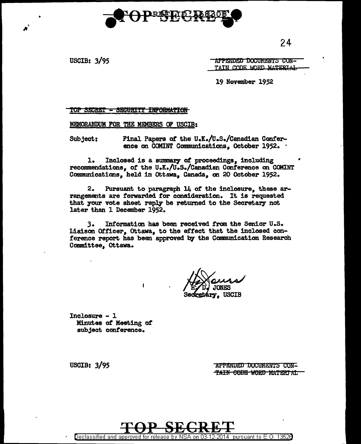

 $24$ 

**USCIB: 3/95** 

APPENDED DOCUMENTS CON-TAIN CODE WORD MATERIAL

19 November 1952

<u> TOP SECRET - SECURITY INFORMATION </u>

MEMORANDUM FOR THE MEMBERS OF USCIB:

Subject: Final Papers of the U.K./U.S./Canadian Conference on COMINT Communications, October 1952.

 $1.$ Inclosed is a summary of proceedings, including recommendations, of the U.K./U.S./Canadian Conference on COMINT Communications, held in Ottawa, Canada, on 20 October 1952.

 $2.$ Pursuant to paragraph 14 of the inclosure, these arrangements are forwarded for consideration. It is requested that your vote sheet reply be returned to the Secretary not later than 1 December 1952.

3. Information has been received from the Senior U.S. Liaison Officer, Ottawa, to the effect that the inclosed conference report has been approved by the Communication Research Committee, Ottawa.

**USCIB** 

 $Inclosure - 1$ Minutes of Meeting of subject conference.

> APPENDED DOCUMENTS CON-TAIN CODE WORD MATERIAL



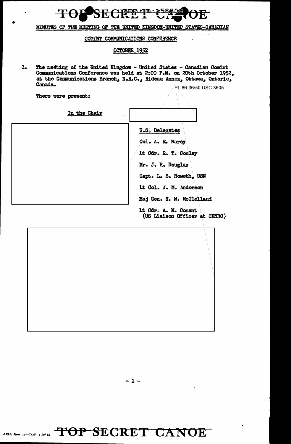

MINUTES OF THE MEETING OF THE UNITED KINCDOM-UNITED STATES-CANADIAN

## COMINT COMMUNICATIONS CONFERENCE

## OCTOBER 1952

 $\mathbf{1}$ . The meeting of the United Kingdom - United States - Canadian Comint Communications Conference was held at 2:00 P.M. on 20th October 1952, at the Communications Branch, N.R.C., Rideau Annex, Ottawa, Ontario, Canada.

There were present:

PL 86-36/50 USC 3605

 $\sim 1$ 

| In the Chair |                                                       |  |
|--------------|-------------------------------------------------------|--|
|              | <b>U.S. Delegates</b>                                 |  |
|              | Col. A. R. Marcy                                      |  |
|              | It Cdr. R. T. Conley                                  |  |
|              | Mr. J. H. Douglas                                     |  |
|              | Capt. L. S. Howeth, USN                               |  |
|              | Lt Col. J. M. Anderson                                |  |
|              | Maj Gen. H. M. McClelland                             |  |
|              | It Cdr. A. M. Conant<br>(US Liaison Officer at CBNRC) |  |

 $-1 -$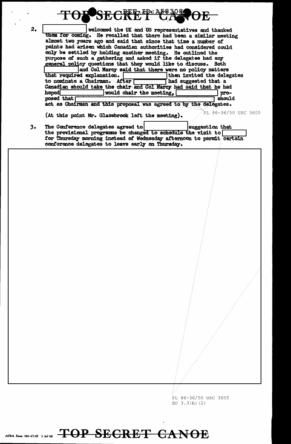

PL 86-36/50 USC 3605 EO  $3.3(h)$  (2)

## TOP SECRET CANOE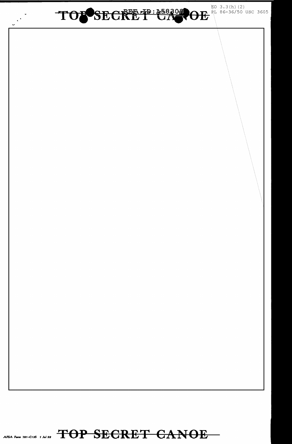

AFSA Form 781-C135 1 Jul 58 TOP SECRET CANOE